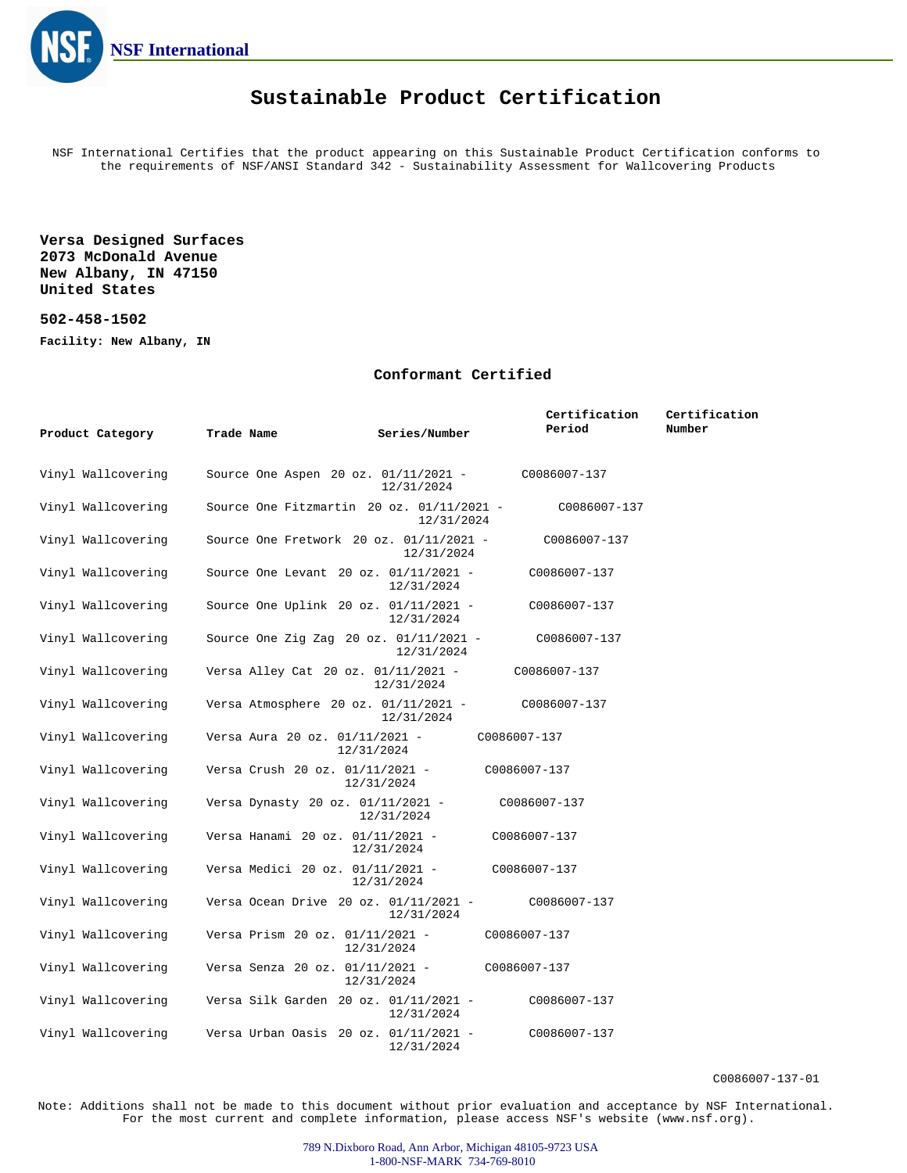

## **Sustainable Product Certification**

NSF International Certifies that the product appearing on this Sustainable Product Certification conforms to the requirements of NSF/ANSI Standard 342 - Sustainability Assessment for Wallcovering Products

**Versa Designed Surfaces 2073 McDonald Avenue New Albany, IN 47150 United States**

## **502-458-1502**

**Facility: New Albany, IN**

## **Conformant Certified**

|                    |                                             |               | Certification | Certification |
|--------------------|---------------------------------------------|---------------|---------------|---------------|
| Product Category   | Trade Name                                  | Series/Number | Period        | Number        |
| Vinyl Wallcovering | Source One Aspen 20 oz. 01/11/2021 -        | 12/31/2024    | C0086007-137  |               |
| Vinyl Wallcovering | Source One Fitzmartin 20 oz. $01/11/2021$ - | 12/31/2024    | C0086007-137  |               |
| Vinyl Wallcovering | Source One Fretwork 20 oz. 01/11/2021 -     | 12/31/2024    | C0086007-137  |               |
| Vinyl Wallcovering | Source One Levant 20 oz. 01/11/2021 -       | 12/31/2024    | C0086007-137  |               |
| Vinyl Wallcovering | Source One Uplink 20 oz. 01/11/2021 -       | 12/31/2024    | C0086007-137  |               |
| Vinyl Wallcovering | Source One Zig Zag 20 oz. 01/11/2021 -      | 12/31/2024    | C0086007-137  |               |
| Vinyl Wallcovering | Versa Alley Cat 20 oz. 01/11/2021 -         | 12/31/2024    | C0086007-137  |               |
| Vinyl Wallcovering | Versa Atmosphere 20 oz. $01/11/2021$ -      | 12/31/2024    | C0086007-137  |               |
| Vinyl Wallcovering | Versa Aura 20 oz. 01/11/2021 -              | 12/31/2024    | C0086007-137  |               |
| Vinyl Wallcovering | Versa Crush 20 oz. 01/11/2021 -             | 12/31/2024    | C0086007-137  |               |
| Vinyl Wallcovering | Versa Dynasty 20 oz. 01/11/2021 -           | 12/31/2024    | C0086007-137  |               |
| Vinyl Wallcovering | Versa Hanami 20 oz. 01/11/2021 -            | 12/31/2024    | C0086007-137  |               |
| Vinyl Wallcovering | Versa Medici 20 oz. 01/11/2021 -            | 12/31/2024    | C0086007-137  |               |
| Vinyl Wallcovering | Versa Ocean Drive 20 oz. 01/11/2021 -       | 12/31/2024    | C0086007-137  |               |
| Vinyl Wallcovering | Versa Prism 20 oz. 01/11/2021 -             | 12/31/2024    | C0086007-137  |               |
| Vinyl Wallcovering | Versa Senza 20 oz. 01/11/2021 -             | 12/31/2024    | C0086007-137  |               |
| Vinyl Wallcovering | Versa Silk Garden 20 oz. 01/11/2021 -       | 12/31/2024    | C0086007-137  |               |
| Vinyl Wallcovering | Versa Urban Oasis 20 oz. $01/11/2021$ -     | 12/31/2024    | C0086007-137  |               |

C0086007-137-01

Note: Additions shall not be made to this document without prior evaluation and acceptance by NSF International. For the most current and complete information, please access NSF's website (www.nsf.org).